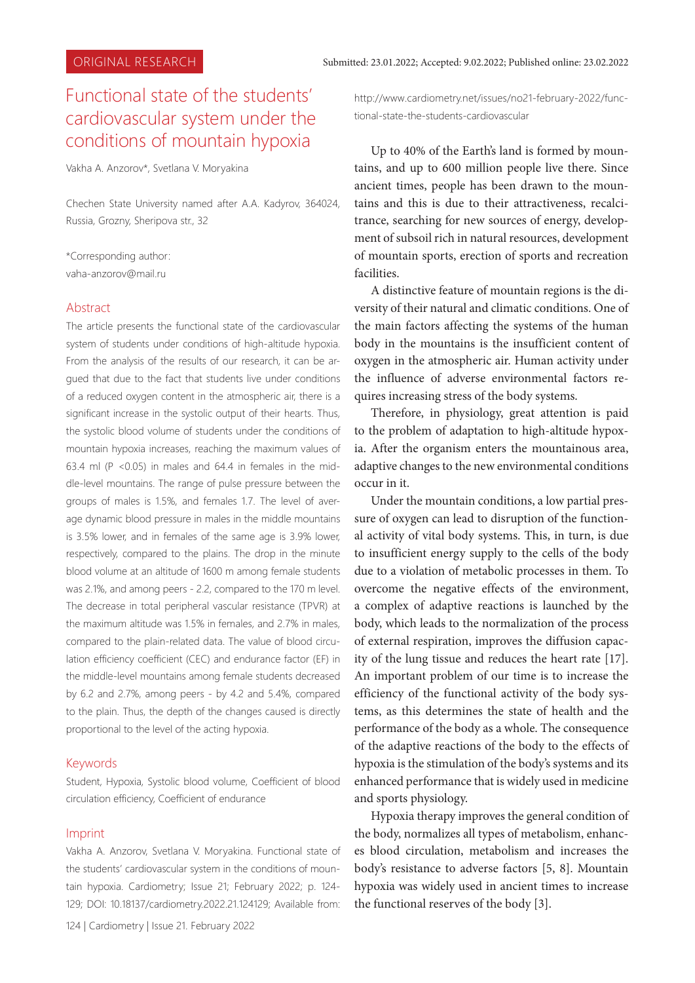# Functional state of the students' cardiovascular system under the conditions of mountain hypoxia

Vakha A. Anzorov\*, Svetlana V. Moryakina

Chechen State University named after A.A. Kadyrov, 364024, Russia, Grozny, Sheripova str., 32

\*Corresponding author: vaha-anzorov@mail.ru

#### **Abstract**

The article presents the functional state of the cardiovascular system of students under conditions of high-altitude hypoxia. From the analysis of the results of our research, it can be argued that due to the fact that students live under conditions of a reduced oxygen content in the atmospheric air, there is a significant increase in the systolic output of their hearts. Thus, the systolic blood volume of students under the conditions of mountain hypoxia increases, reaching the maximum values of 63.4 ml (P <0.05) in males and 64.4 in females in the middle-level mountains. The range of pulse pressure between the groups of males is 1.5%, and females 1.7. The level of average dynamic blood pressure in males in the middle mountains is 3.5% lower, and in females of the same age is 3.9% lower, respectively, compared to the plains. The drop in the minute blood volume at an altitude of 1600 m among female students was 2.1%, and among peers - 2.2, compared to the 170 m level. The decrease in total peripheral vascular resistance (TPVR) at the maximum altitude was 1.5% in females, and 2.7% in males, compared to the plain-related data. The value of blood circulation efficiency coefficient (CEC) and endurance factor (EF) in the middle-level mountains among female students decreased by 6.2 and 2.7%, among peers - by 4.2 and 5.4%, compared to the plain. Thus, the depth of the changes caused is directly proportional to the level of the acting hypoxia.

#### Keywords

Student, Hypoxia, Systolic blood volume, Coefficient of blood circulation efficiency, Coefficient of endurance

#### Imprint

Vakha A. Anzorov, Svetlana V. Moryakina. Functional state of the students' cardiovascular system in the conditions of mountain hypoxia. Cardiometry; Issue 21; February 2022; p. 124- 129; DOI: 10.18137/cardiometry.2022.21.124129; Available from:

124 | Cardiometry | Issue 21. February 2022

http://www.cardiometry.net/issues/no21-february-2022/functional-state-the-students-cardiovascular

Up to 40% of the Earth's land is formed by mountains, and up to 600 million people live there. Since ancient times, people has been drawn to the mountains and this is due to their attractiveness, recalcitrance, searching for new sources of energy, development of subsoil rich in natural resources, development of mountain sports, erection of sports and recreation facilities.

A distinctive feature of mountain regions is the diversity of their natural and climatic conditions. One of the main factors affecting the systems of the human body in the mountains is the insufficient content of oxygen in the atmospheric air. Human activity under the influence of adverse environmental factors requires increasing stress of the body systems.

Therefore, in physiology, great attention is paid to the problem of adaptation to high-altitude hypoxia. After the organism enters the mountainous area, adaptive changes to the new environmental conditions occur in it.

Under the mountain conditions, a low partial pressure of oxygen can lead to disruption of the functional activity of vital body systems. This, in turn, is due to insufficient energy supply to the cells of the body due to a violation of metabolic processes in them. To overcome the negative effects of the environment, a complex of adaptive reactions is launched by the body, which leads to the normalization of the process of external respiration, improves the diffusion capacity of the lung tissue and reduces the heart rate [17]. An important problem of our time is to increase the efficiency of the functional activity of the body systems, as this determines the state of health and the performance of the body as a whole. The consequence of the adaptive reactions of the body to the effects of hypoxia is the stimulation of the body's systems and its enhanced performance that is widely used in medicine and sports physiology.

Hypoxia therapy improves the general condition of the body, normalizes all types of metabolism, enhances blood circulation, metabolism and increases the body's resistance to adverse factors [5, 8]. Mountain hypoxia was widely used in ancient times to increase the functional reserves of the body [3].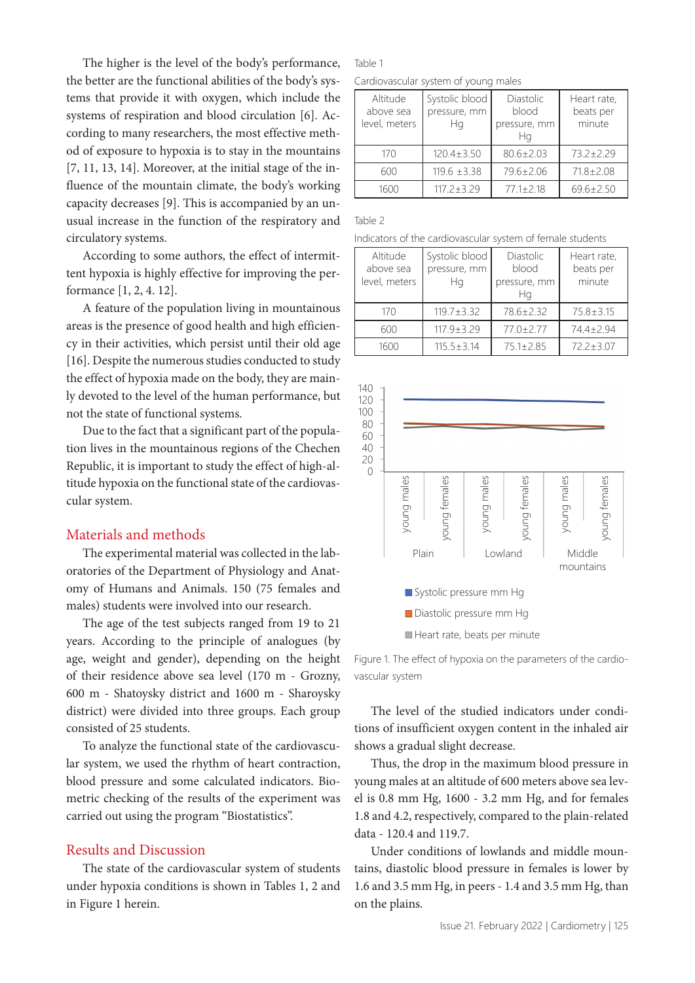The higher is the level of the body's performance, the better are the functional abilities of the body's systems that provide it with oxygen, which include the systems of respiration and blood circulation [6]. According to many researchers, the most effective method of exposure to hypoxia is to stay in the mountains [7, 11, 13, 14]. Moreover, at the initial stage of the influence of the mountain climate, the body's working capacity decreases [9]. This is accompanied by an unusual increase in the function of the respiratory and circulatory systems.

According to some authors, the effect of intermittent hypoxia is highly effective for improving the performance [1, 2, 4. 12].

A feature of the population living in mountainous areas is the presence of good health and high efficiency in their activities, which persist until their old age [16]. Despite the numerous studies conducted to study the effect of hypoxia made on the body, they are mainly devoted to the level of the human performance, but not the state of functional systems.

Due to the fact that a significant part of the population lives in the mountainous regions of the Chechen Republic, it is important to study the effect of high-altitude hypoxia on the functional state of the cardiovascular system.

## Materials and methods

The experimental material was collected in the laboratories of the Department of Physiology and Anatomy of Humans and Animals. 150 (75 females and males) students were involved into our research.

The age of the test subjects ranged from 19 to 21 years. According to the principle of analogues (by age, weight and gender), depending on the height of their residence above sea level (170 m - Grozny, 600 m - Shatoysky district and 1600 m - Sharoysky district) were divided into three groups. Each group consisted of 25 students.

To analyze the functional state of the cardiovascular system, we used the rhythm of heart contraction, blood pressure and some calculated indicators. Biometric checking of the results of the experiment was carried out using the program "Biostatistics".

## Results and Discussion

The state of the cardiovascular system of students under hypoxia conditions is shown in Tables 1, 2 and in Figure 1 herein.

#### Table 1

Cardiovascular system of young males

| Altitude<br>above sea<br>level, meters | Systolic blood<br>pressure, mm<br>Нq | Diastolic<br>blood<br>pressure, mm<br>Ha | Heart rate,<br>beats per<br>minute |  |
|----------------------------------------|--------------------------------------|------------------------------------------|------------------------------------|--|
| 170                                    | $120.4 \pm 3.50$                     | $80.6 \pm 2.03$                          | $73.2 \pm 2.29$                    |  |
| $119.6 \pm 3.38$<br>600                |                                      | $79.6 + 2.06$                            | $71.8 + 2.08$                      |  |
| 1600                                   | $117.2 + 3.29$                       | $77.1 + 2.18$                            | $69.6 + 2.50$                      |  |

Table 2

Indicators of the cardiovascular system of female students

| Altitude<br>above sea<br>level, meters | Systolic blood<br>pressure, mm<br>Нq | Diastolic<br>blood<br>pressure, mm<br>Ha | Heart rate,<br>beats per<br>minute |  |
|----------------------------------------|--------------------------------------|------------------------------------------|------------------------------------|--|
| 170                                    | $119.7 + 3.32$                       | 78.6+2.32                                | $75.8 \pm 3.15$                    |  |
| $117.9 + 3.29$<br>600                  |                                      | $77.0 + 2.77$                            | 74.4+2.94                          |  |
| 1600                                   | $115.5 \pm 3.14$                     | $75.1 + 2.85$                            | $72.2 + 3.07$                      |  |



Figure 1. The effect of hypoxia on the parameters of the cardiovascular system

The level of the studied indicators under conditions of insufficient oxygen content in the inhaled air shows a gradual slight decrease.

Thus, the drop in the maximum blood pressure in young males at an altitude of 600 meters above sea level is 0.8 mm Hg, 1600 - 3.2 mm Hg, and for females 1.8 and 4.2, respectively, compared to the plain-related data - 120.4 and 119.7.

Under conditions of lowlands and middle mountains, diastolic blood pressure in females is lower by 1.6 and 3.5 mm Hg, in peers - 1.4 and 3.5 mm Hg, than on the plains.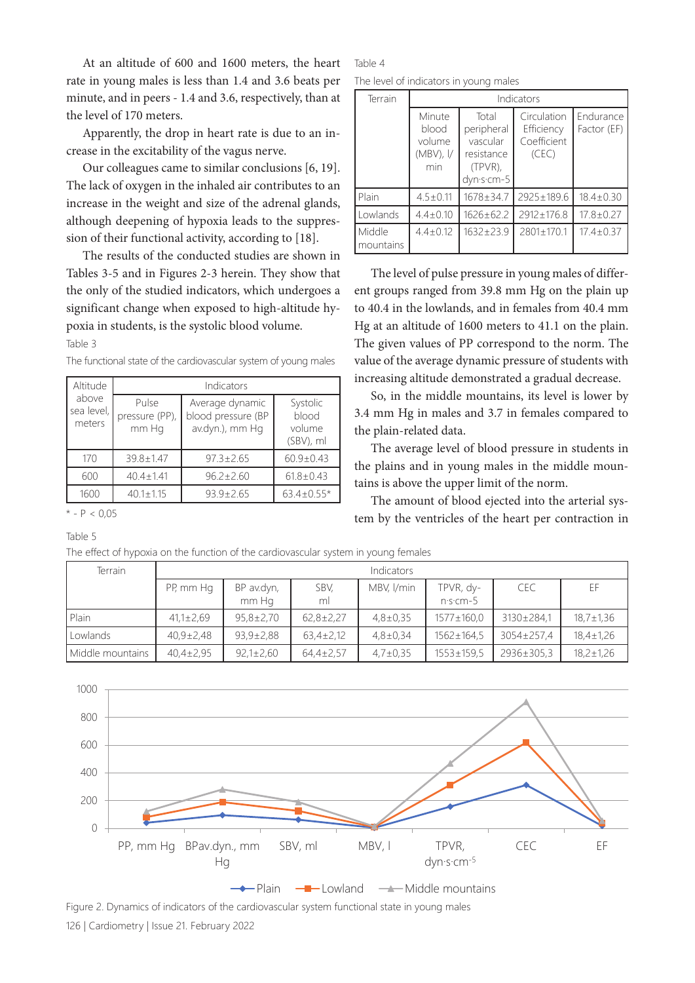At an altitude of 600 and 1600 meters, the heart rate in young males is less than 1.4 and 3.6 beats per minute, and in peers - 1.4 and 3.6, respectively, than at the level of 170 meters.

Apparently, the drop in heart rate is due to an increase in the excitability of the vagus nerve.

Our colleagues came to similar conclusions [6, 19]. The lack of oxygen in the inhaled air contributes to an increase in the weight and size of the adrenal glands, although deepening of hypoxia leads to the suppression of their functional activity, according to [18].

The results of the conducted studies are shown in Tables 3-5 and in Figures 2-3 herein. They show that the only of the studied indicators, which undergoes a significant change when exposed to high-altitude hypoxia in students, is the systolic blood volume.

Table 3

The functional state of the cardiovascular system of young males

| Altitude<br>above<br>sea level,<br>meters | Indicators                       |                                                          |                                             |  |  |
|-------------------------------------------|----------------------------------|----------------------------------------------------------|---------------------------------------------|--|--|
|                                           | Pulse<br>pressure (PP),<br>mm Hg | Average dynamic<br>blood pressure (BP<br>av.dyn.), mm Hg | Systolic<br>blood<br>volume<br>$(SBV)$ , ml |  |  |
| 170                                       | $39.8 \pm 1.47$                  | $97.3 + 2.65$                                            | $60.9 \pm 0.43$                             |  |  |
| 600                                       | $40.4 + 1.41$                    | $96.2 + 2.60$                                            | $61.8 \pm 0.43$                             |  |  |
| 1600                                      | $40.1 \pm 1.15$                  | $93.9 \pm 2.65$                                          | $63.4 \pm 0.55*$                            |  |  |

\* - P < 0,05

Table 5

The effect of hypoxia on the function of the cardiovascular system in young females Terrain and the contractors of the contractors of the contractors of the contractors of the contractors of the contractors of the contractors of the contractors of the contractors of the contractors of the contractors of t

| Table 4 |  |  |
|---------|--|--|
|         |  |  |

The level of indicators in young males

| Terrain             | Indicators                                    |                                                                           |                                                   |                          |  |
|---------------------|-----------------------------------------------|---------------------------------------------------------------------------|---------------------------------------------------|--------------------------|--|
|                     | Minute<br>blood<br>volume<br>(MBV), I/<br>min | Total<br>peripheral<br>vascular<br>resistance<br>$(TPVR)$ ,<br>dyn·s·cm-5 | Circulation<br>Efficiency<br>Coefficient<br>(CEC) | Endurance<br>Factor (EF) |  |
| Plain               | $4.5 \pm 0.11$                                | $1678 \pm 34.7$                                                           | 2925±189.6                                        | $18.4 \pm 0.30$          |  |
| Lowlands            | $4.4 \pm 0.10$                                | $1626 \pm 62.2$                                                           | 2912±176.8                                        | $17.8 \pm 0.27$          |  |
| Middle<br>mountains | $4.4 \pm 0.12$                                | $1632 + 23.9$                                                             | 2801±170.1                                        | $17.4 \pm 0.37$          |  |

The level of pulse pressure in young males of different groups ranged from 39.8 mm Hg on the plain up to 40.4 in the lowlands, and in females from 40.4 mm Hg at an altitude of 1600 meters to 41.1 on the plain. The given values of PP correspond to the norm. The value of the average dynamic pressure of students with increasing altitude demonstrated a gradual decrease.

So, in the middle mountains, its level is lower by 3.4 mm Hg in males and 3.7 in females compared to the plain-related data.

The average level of blood pressure in students in the plains and in young males in the middle mountains is above the upper limit of the norm.

The amount of blood ejected into the arterial system by the ventricles of the heart per contraction in

|                  | PP, mm Hg       | BP av.dyn,<br>mm Ha | SBV,<br>ml      | MBV, I/min     | TPVR, dy-<br>$n \cdot s \cdot cm - 5$ | <b>CEC</b> | ΕF              |
|------------------|-----------------|---------------------|-----------------|----------------|---------------------------------------|------------|-----------------|
| Plain            | $41,1\pm2,69$   | $95,8 \pm 2,70$     | $62,8 \pm 2,27$ | $4,8 \pm 0.35$ | $1577 \pm 160.0$                      | 3130±284,1 | $18,7 \pm 1,36$ |
| Lowlands         | $40.9 \pm 2.48$ | $93,9 \pm 2,88$     | $63,4\pm2,12$   | $4,8 \pm 0,34$ | $1562 \pm 164.5$                      | 3054±257,4 | $18,4 \pm 1,26$ |
| Middle mountains | $40.4 \pm 2.95$ | $92.1 \pm 2.60$     | $64,4\pm2,57$   | $4,7 \pm 0,35$ | $1553 \pm 159.5$                      | 2936±305,3 | $18,2 \pm 1,26$ |
| 1000             |                 |                     |                 |                |                                       |            |                 |



126 | Cardiometry | Issue 21. February 2022 Figure 2. Dynamics of indicators of the cardiovascular system functional state in young males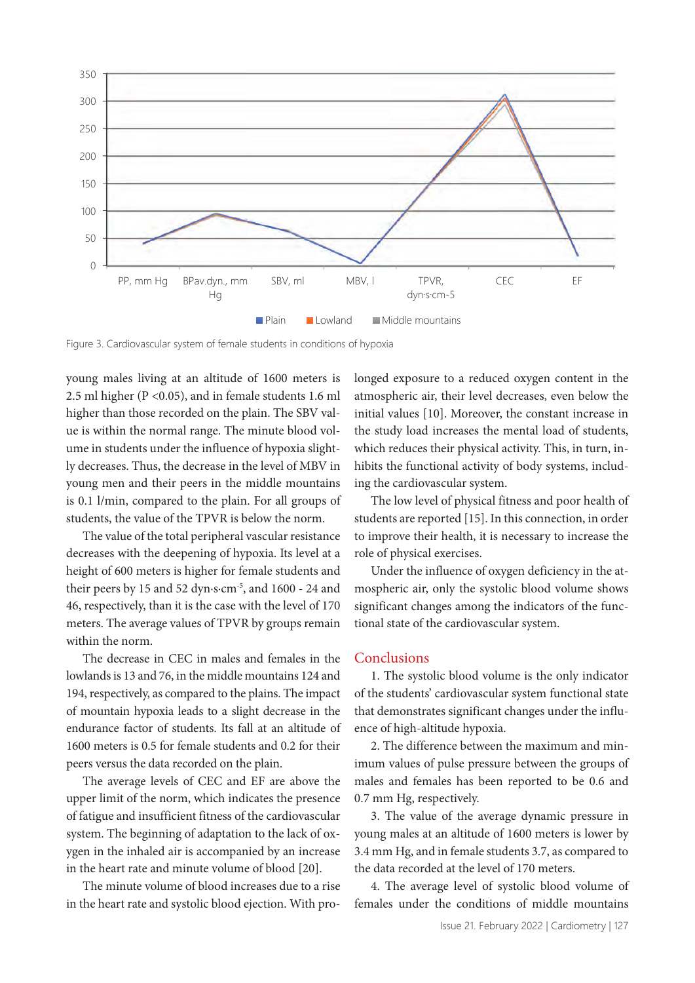

Figure 3. Cardiovascular system of female students in conditions of hypoxia

young males living at an altitude of 1600 meters is 2.5 ml higher (P <0.05), and in female students 1.6 ml higher than those recorded on the plain. The SBV value is within the normal range. The minute blood volume in students under the influence of hypoxia slightly decreases. Thus, the decrease in the level of MBV in young men and their peers in the middle mountains is 0.1 l/min, compared to the plain. For all groups of students, the value of the TPVR is below the norm.

The value of the total peripheral vascular resistance decreases with the deepening of hypoxia. Its level at a height of 600 meters is higher for female students and their peers by 15 and 52 dyn·s·cm-5, and 1600 - 24 and 46, respectively, than it is the case with the level of 170 meters. The average values of TPVR by groups remain within the norm.

The decrease in CEC in males and females in the lowlands is 13 and 76, in the middle mountains 124 and 194, respectively, as compared to the plains. The impact of mountain hypoxia leads to a slight decrease in the endurance factor of students. Its fall at an altitude of 1600 meters is 0.5 for female students and 0.2 for their peers versus the data recorded on the plain.

The average levels of CEC and EF are above the upper limit of the norm, which indicates the presence of fatigue and insufficient fitness of the cardiovascular system. The beginning of adaptation to the lack of oxygen in the inhaled air is accompanied by an increase in the heart rate and minute volume of blood [20].

The minute volume of blood increases due to a rise in the heart rate and systolic blood ejection. With prolonged exposure to a reduced oxygen content in the atmospheric air, their level decreases, even below the initial values [10]. Moreover, the constant increase in the study load increases the mental load of students, which reduces their physical activity. This, in turn, inhibits the functional activity of body systems, including the cardiovascular system.

The low level of physical fitness and poor health of students are reported [15]. In this connection, in order to improve their health, it is necessary to increase the role of physical exercises.

Under the influence of oxygen deficiency in the atmospheric air, only the systolic blood volume shows significant changes among the indicators of the functional state of the cardiovascular system.

#### **Conclusions**

1. The systolic blood volume is the only indicator of the students' cardiovascular system functional state that demonstrates significant changes under the influence of high-altitude hypoxia.

2. The difference between the maximum and minimum values of pulse pressure between the groups of males and females has been reported to be 0.6 and 0.7 mm Hg, respectively.

3. The value of the average dynamic pressure in young males at an altitude of 1600 meters is lower by 3.4 mm Hg, and in female students 3.7, as compared to the data recorded at the level of 170 meters.

4. The average level of systolic blood volume of females under the conditions of middle mountains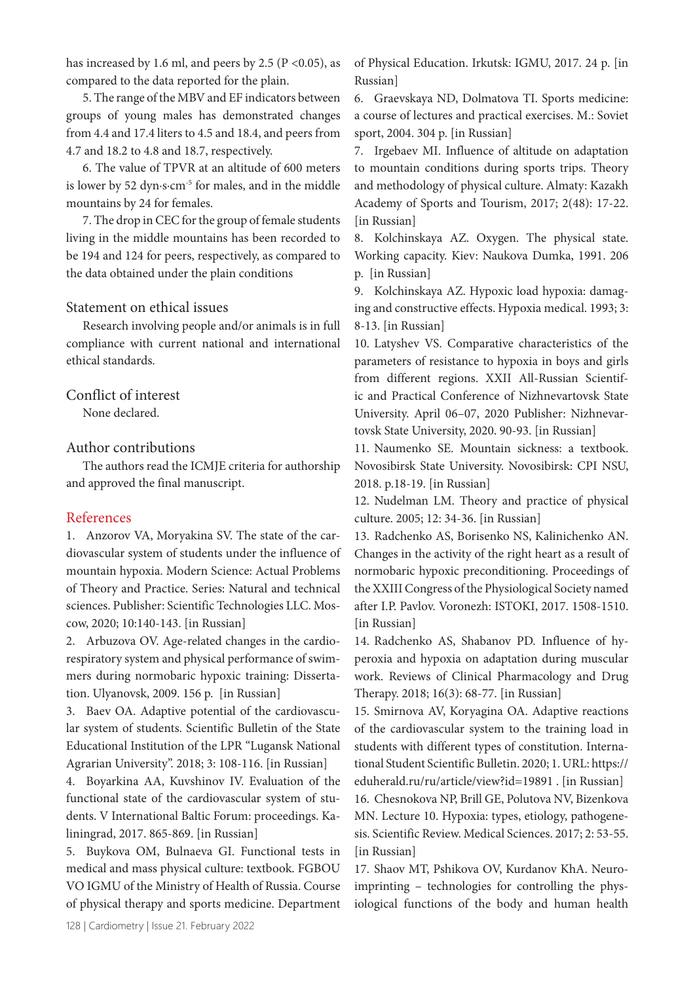has increased by 1.6 ml, and peers by 2.5 ( $P < 0.05$ ), as compared to the data reported for the plain.

5. The range of the MBV and EF indicators between groups of young males has demonstrated changes from 4.4 and 17.4 liters to 4.5 and 18.4, and peers from 4.7 and 18.2 to 4.8 and 18.7, respectively.

6. The value of TPVR at an altitude of 600 meters is lower by 52 dyn·s·cm-5 for males, and in the middle mountains by 24 for females.

7. The drop in CEC for the group of female students living in the middle mountains has been recorded to be 194 and 124 for peers, respectively, as compared to the data obtained under the plain conditions

## Statement on ethical issues

Research involving people and/or animals is in full compliance with current national and international ethical standards.

Conflict of interest None declared.

#### Author contributions

The authors read the ICMJE criteria for authorship and approved the final manuscript.

## References

1. Anzorov VA, Moryakina SV. The state of the cardiovascular system of students under the influence of mountain hypoxia. Modern Science: Actual Problems of Theory and Practice. Series: Natural and technical sciences. Publisher: Scientific Technologies LLC. Moscow, 2020; 10:140-143. [in Russian]

2. Arbuzova OV. Age-related changes in the cardiorespiratory system and physical performance of swimmers during normobaric hypoxic training: Dissertation. Ulyanovsk, 2009. 156 p. [in Russian]

3. Baev OA. Adaptive potential of the cardiovascular system of students. Scientific Bulletin of the State Educational Institution of the LPR "Lugansk National Agrarian University". 2018; 3: 108-116. [in Russian]

4. Boyarkina AA, Kuvshinov IV. Evaluation of the functional state of the cardiovascular system of students. V International Baltic Forum: proceedings. Kaliningrad, 2017. 865-869. [in Russian]

5. Buykova OM, Bulnaeva GI. Functional tests in medical and mass physical culture: textbook. FGBOU VO IGMU of the Ministry of Health of Russia. Course of physical therapy and sports medicine. Department of Physical Education. Irkutsk: IGMU, 2017. 24 p. [in Russian]

6. Graevskaya ND, Dolmatova TI. Sports medicine: a course of lectures and practical exercises. M.: Soviet sport, 2004. 304 p. [in Russian]

7. Irgebaev MI. Influence of altitude on adaptation to mountain conditions during sports trips. Theory and methodology of physical culture. Almaty: Kazakh Academy of Sports and Tourism, 2017; 2(48): 17-22. [in Russian]

8. Kolchinskaya AZ. Oxygen. The physical state. Working capacity. Kiev: Naukova Dumka, 1991. 206 p. [in Russian]

9. Kolchinskaya AZ. Hypoxic load hypoxia: damaging and constructive effects. Hypoxia medical. 1993; 3: 8-13. [in Russian]

10. Latyshev VS. Comparative characteristics of the parameters of resistance to hypoxia in boys and girls from different regions. XXII All-Russian Scientific and Practical Conference of Nizhnevartovsk State University. April 06–07, 2020 Publisher: Nizhnevartovsk State University, 2020. 90-93. [in Russian]

11. Naumenko SE. Mountain sickness: a textbook. Novosibirsk State University. Novosibirsk: CPI NSU, 2018. p.18-19. [in Russian]

12. Nudelman LM. Theory and practice of physical culture. 2005; 12: 34-36. [in Russian]

13. Radchenko AS, Borisenko NS, Kalinichenko AN. Changes in the activity of the right heart as a result of normobaric hypoxic preconditioning. Proceedings of the XXIII Congress of the Physiological Society named after I.P. Pavlov. Voronezh: ISTOKI, 2017. 1508-1510. [in Russian]

14. Radchenko AS, Shabanov PD. Influence of hyperoxia and hypoxia on adaptation during muscular work. Reviews of Clinical Pharmacology and Drug Therapy. 2018; 16(3): 68-77. [in Russian]

15. Smirnova AV, Koryagina OA. Adaptive reactions of the cardiovascular system to the training load in students with different types of constitution. International Student Scientific Bulletin. 2020; 1. URL: https:// eduherald.ru/ru/article/view?id=19891 . [in Russian]

16. Chesnokova NP, Brill GE, Polutova NV, Bizenkova MN. Lecture 10. Hypoxia: types, etiology, pathogenesis. Scientific Review. Medical Sciences. 2017; 2: 53-55. [in Russian]

17. Shaov MT, Pshikova OV, Kurdanov KhA. Neuroimprinting – technologies for controlling the physiological functions of the body and human health